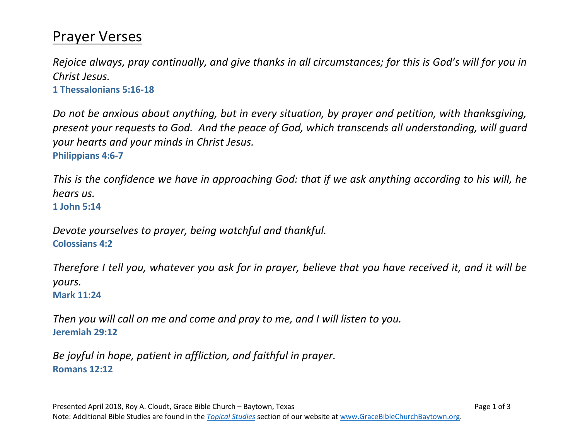## Prayer Verses

*Rejoice always, pray continually, and give thanks in all circumstances; for this is God's will for you in Christ Jesus.* **1 [Thessalonians 5:16-18](https://dailyverses.net/1-thessalonians/5/16-18)**

*Do not be anxious about anything, but in every situation, by prayer and petition, with thanksgiving, present your requests to God. And the peace of God, which transcends all understanding, will guard your hearts and your minds in Christ Jesus.* **[Philippians 4:6-7](https://dailyverses.net/philippians/4/6-7)**

*This is the confidence we have in approaching God: that if we ask anything according to his will, he hears us.* **[1 John 5:14](https://dailyverses.net/1-john/5/14)**

*Devote yourselves to prayer, being watchful and thankful.* **[Colossians 4:2](https://dailyverses.net/colossians/4/2)**

*Therefore I tell you, whatever you ask for in prayer, believe that you have received it, and it will be yours.*

**[Mark 11:24](https://dailyverses.net/mark/11/24)**

*Then you will call on me and come and pray to me, and I will listen to you.* **[Jeremiah 29:12](https://dailyverses.net/jeremiah/29/12)**

*Be joyful in hope, patient in affliction, and faithful in prayer.* **[Romans 12:12](https://dailyverses.net/romans/12/12)**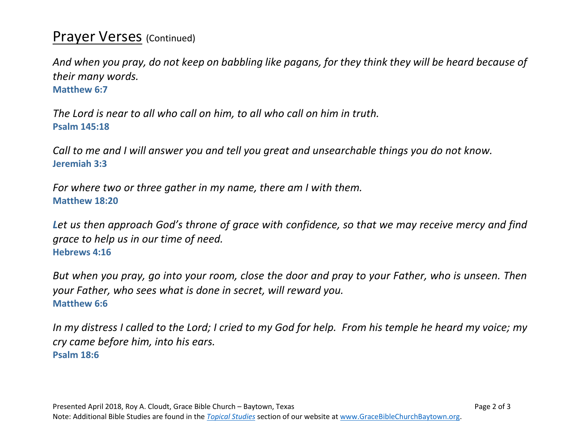## **Prayer Verses** (Continued)

*And when you pray, do not keep on babbling like pagans, for they think they will be heard because of their many words.*

**[Matthew 6:7](https://dailyverses.net/matthew/6/7)**

*The Lord is near to all who call on him, to all who call on him in truth.* **[Psalm 145:18](https://dailyverses.net/psalms/145/18)**

*Call to me and I will answer you and tell you great and unsearchable things you do not know.* **[Jeremiah 3:3](https://dailyverses.net/jeremiah/33/3)**

*For where two or three gather in my name, there am I with them.* **[Matthew 18:20](https://dailyverses.net/matthew/18/20)**

*Let us then approach God's throne of grace with confidence, so that we may receive mercy and find grace to help us in our time of need.* **[Hebrews 4:16](https://dailyverses.net/hebrews/4/16)**

*But when you pray, go into your room, close the door and pray to your Father, who is unseen. Then your Father, who sees what is done in secret, will reward you.* **[Matthew 6:6](https://dailyverses.net/matthew/6/6)**

*In my distress I called to the Lord; I cried to my God for help. From his temple he heard my voice; my cry came before him, into his ears.* **[Psalm 18:6](https://dailyverses.net/psalms/18/6)**